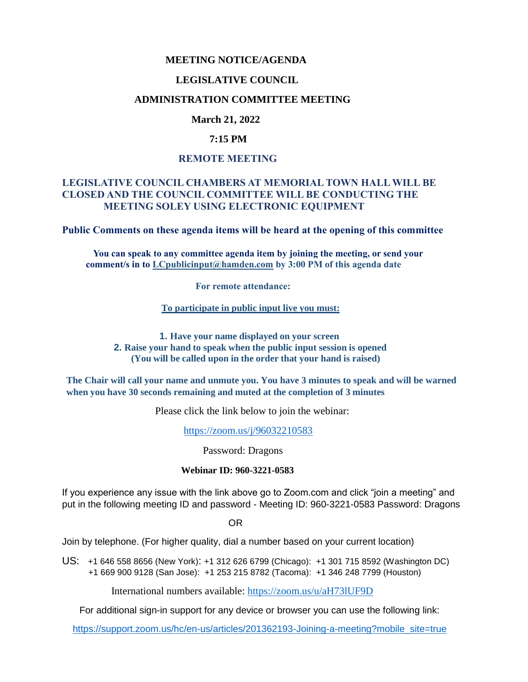### **MEETING NOTICE/AGENDA**

#### **LEGISLATIVE COUNCIL**

### **ADMINISTRATION COMMITTEE MEETING**

## **March 21, 2022**

## **7:15 PM**

## **REMOTE MEETING**

# **LEGISLATIVE COUNCIL CHAMBERS AT MEMORIAL TOWN HALL WILL BE CLOSED AND THE COUNCIL COMMITTEE WILL BE CONDUCTING THE MEETING SOLEY USING ELECTRONIC EQUIPMENT**

**Public Comments on these agenda items will be heard at the opening of this committee** 

 **You can speak to any committee agenda item by joining the meeting, or send your comment/s in to [LCpublicinput@hamden.com](mailto:LCpublicinput@hamden.com) by 3:00 PM of this agenda date**

 **For remote attendance:**

**To participate in public input live you must:**

**1. Have your name displayed on your screen 2. Raise your hand to speak when the public input session is opened (You will be called upon in the order that your hand is raised)**

**The Chair will call your name and unmute you. You have 3 minutes to speak and will be warned when you have 30 seconds remaining and muted at the completion of 3 minutes**

Please click the link below to join the webinar:

<https://zoom.us/j/96032210583>

Password: Dragons

#### **Webinar ID: 960-3221-0583**

If you experience any issue with the link above go to Zoom.com and click "join a meeting" and put in the following meeting ID and password - Meeting ID: 960-3221-0583 Password: Dragons

OR

Join by telephone. (For higher quality, dial a number based on your current location)

US: [+1 646 558 8656 \(New York\)](tel:+16465588656): [+1 312 626 6799 \(Chicago\):](tel:+13126266799) [+1 301 715 8592 \(Washington DC\)](tel:+13017158592) +1 669 900 9128 (San Jose): [+1 253 215 8782 \(Tacoma\):](tel:+12532158782) [+1 346 248 7799 \(Houston\)](tel:+13462487799)

International numbers available:<https://zoom.us/u/aH73lUF9D>

For additional sign-in support for any device or browser you can use the following link:

[https://support.zoom.us/hc/en-us/articles/201362193-Joining-a-meeting?mobile\\_site=true](https://support.zoom.us/hc/en-us/articles/201362193-Joining-a-meeting?mobile_site=true)